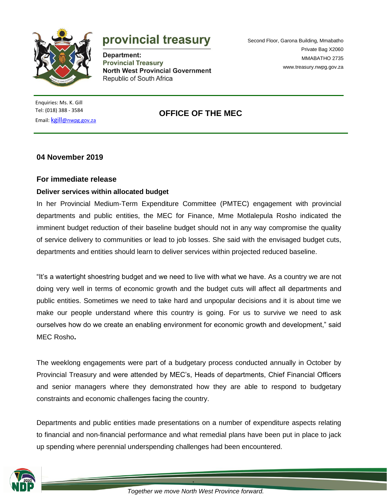

# provincial treasury

Department: **Provincial Treasury North West Provincial Government** Republic of South Africa

Second Floor, Garona Building, Mmabatho Private Bag X2060 MMABATHO 2735 [www.treasury.nwpg.gov.za](http://www.treasury.nwpg.gov.za/)

Enquiries: Ms. K. Gill Tel: (018) 388 - 3584 Email: kgill[@nwpg.gov.za](mailto:kgill@nwpg.gov.za)

## **OFFICE OF THE MEC**

### **04 November 2019**

#### **For immediate release**

#### **Deliver services within allocated budget**

In her Provincial Medium-Term Expenditure Committee (PMTEC) engagement with provincial departments and public entities, the MEC for Finance, Mme Motlalepula Rosho indicated the imminent budget reduction of their baseline budget should not in any way compromise the quality of service delivery to communities or lead to job losses. She said with the envisaged budget cuts, departments and entities should learn to deliver services within projected reduced baseline.

"It's a watertight shoestring budget and we need to live with what we have. As a country we are not doing very well in terms of economic growth and the budget cuts will affect all departments and public entities. Sometimes we need to take hard and unpopular decisions and it is about time we make our people understand where this country is going. For us to survive we need to ask ourselves how do we create an enabling environment for economic growth and development," said MEC Rosho**.**

The weeklong engagements were part of a budgetary process conducted annually in October by Provincial Treasury and were attended by MEC's, Heads of departments, Chief Financial Officers and senior managers where they demonstrated how they are able to respond to budgetary constraints and economic challenges facing the country.

Departments and public entities made presentations on a number of expenditure aspects relating to financial and non-financial performance and what remedial plans have been put in place to jack up spending where perennial underspending challenges had been encountered.